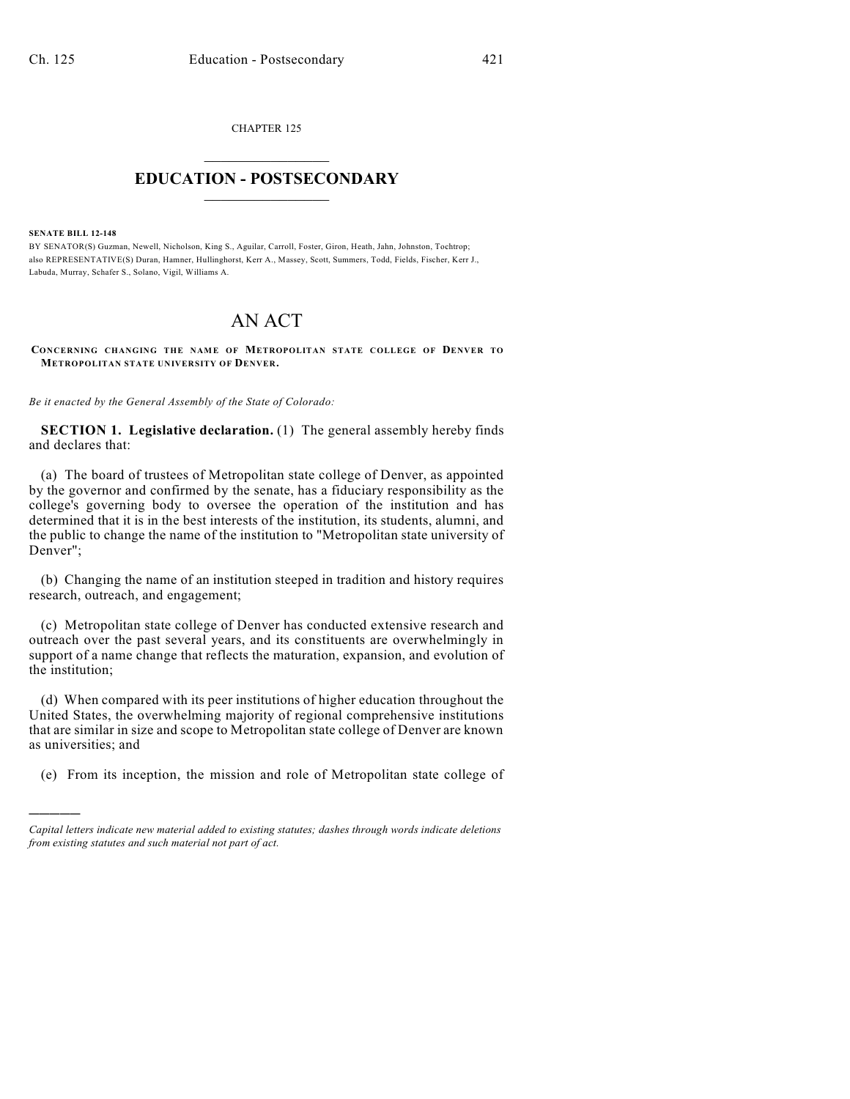CHAPTER 125  $\overline{\phantom{a}}$  . The set of the set of the set of the set of the set of the set of the set of the set of the set of the set of the set of the set of the set of the set of the set of the set of the set of the set of the set o

## **EDUCATION - POSTSECONDARY**  $\frac{1}{2}$  ,  $\frac{1}{2}$  ,  $\frac{1}{2}$  ,  $\frac{1}{2}$  ,  $\frac{1}{2}$  ,  $\frac{1}{2}$  ,  $\frac{1}{2}$

**SENATE BILL 12-148**

)))))

BY SENATOR(S) Guzman, Newell, Nicholson, King S., Aguilar, Carroll, Foster, Giron, Heath, Jahn, Johnston, Tochtrop; also REPRESENTATIVE(S) Duran, Hamner, Hullinghorst, Kerr A., Massey, Scott, Summers, Todd, Fields, Fischer, Kerr J., Labuda, Murray, Schafer S., Solano, Vigil, Williams A.

## AN ACT

**CONCERNING CHANGING THE NAME OF METROPOLITAN STATE COLLEGE OF DENVER TO METROPOLITAN STATE UNIVERSITY OF DENVER.**

*Be it enacted by the General Assembly of the State of Colorado:*

**SECTION 1. Legislative declaration.** (1) The general assembly hereby finds and declares that:

(a) The board of trustees of Metropolitan state college of Denver, as appointed by the governor and confirmed by the senate, has a fiduciary responsibility as the college's governing body to oversee the operation of the institution and has determined that it is in the best interests of the institution, its students, alumni, and the public to change the name of the institution to "Metropolitan state university of Denver";

(b) Changing the name of an institution steeped in tradition and history requires research, outreach, and engagement;

(c) Metropolitan state college of Denver has conducted extensive research and outreach over the past several years, and its constituents are overwhelmingly in support of a name change that reflects the maturation, expansion, and evolution of the institution;

(d) When compared with its peer institutions of higher education throughout the United States, the overwhelming majority of regional comprehensive institutions that are similar in size and scope to Metropolitan state college of Denver are known as universities; and

(e) From its inception, the mission and role of Metropolitan state college of

*Capital letters indicate new material added to existing statutes; dashes through words indicate deletions from existing statutes and such material not part of act.*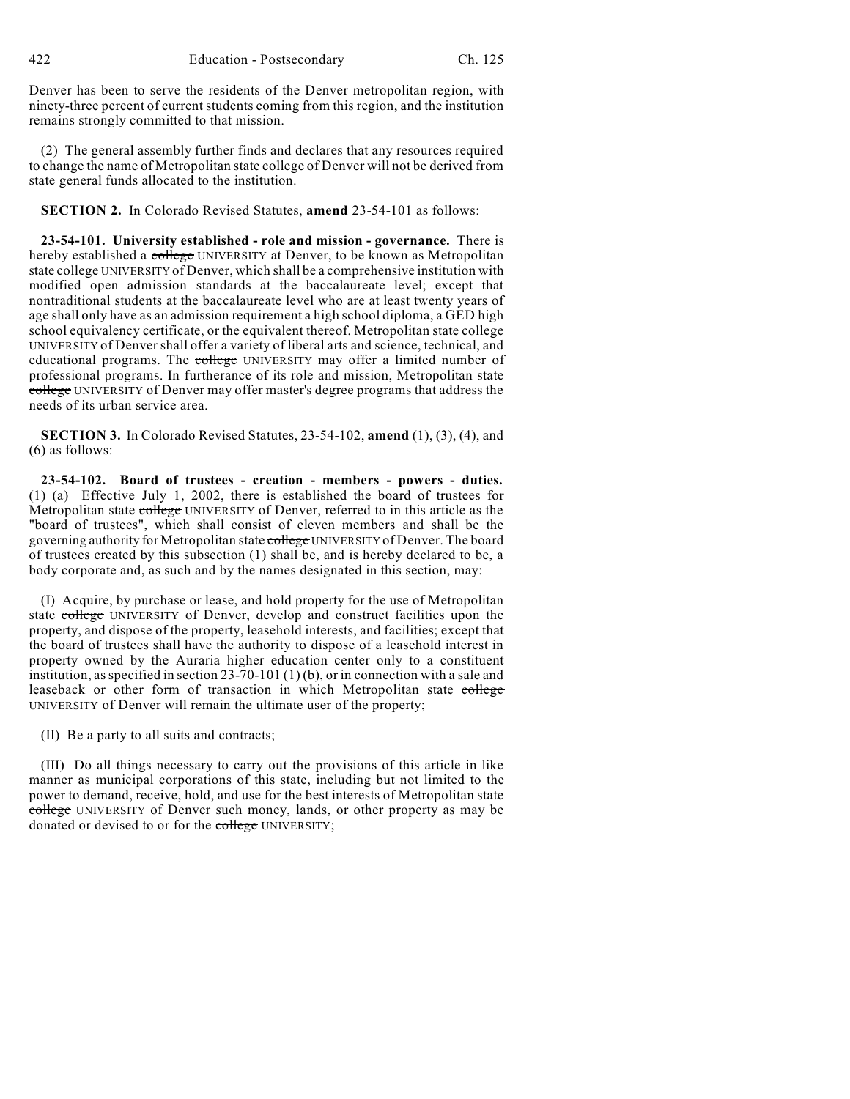Denver has been to serve the residents of the Denver metropolitan region, with ninety-three percent of current students coming from this region, and the institution remains strongly committed to that mission.

(2) The general assembly further finds and declares that any resources required to change the name of Metropolitan state college of Denver will not be derived from state general funds allocated to the institution.

**SECTION 2.** In Colorado Revised Statutes, **amend** 23-54-101 as follows:

**23-54-101. University established - role and mission - governance.** There is hereby established a college UNIVERSITY at Denver, to be known as Metropolitan state college UNIVERSITY of Denver, which shall be a comprehensive institution with modified open admission standards at the baccalaureate level; except that nontraditional students at the baccalaureate level who are at least twenty years of age shall only have as an admission requirement a high school diploma, a GED high school equivalency certificate, or the equivalent thereof. Metropolitan state college UNIVERSITY of Denver shall offer a variety of liberal arts and science, technical, and educational programs. The college UNIVERSITY may offer a limited number of professional programs. In furtherance of its role and mission, Metropolitan state college UNIVERSITY of Denver may offer master's degree programs that address the needs of its urban service area.

**SECTION 3.** In Colorado Revised Statutes, 23-54-102, **amend** (1), (3), (4), and (6) as follows:

**23-54-102. Board of trustees - creation - members - powers - duties.** (1) (a) Effective July 1, 2002, there is established the board of trustees for Metropolitan state college UNIVERSITY of Denver, referred to in this article as the "board of trustees", which shall consist of eleven members and shall be the governing authority for Metropolitan state college UNIVERSITY of Denver. The board of trustees created by this subsection (1) shall be, and is hereby declared to be, a body corporate and, as such and by the names designated in this section, may:

(I) Acquire, by purchase or lease, and hold property for the use of Metropolitan state college UNIVERSITY of Denver, develop and construct facilities upon the property, and dispose of the property, leasehold interests, and facilities; except that the board of trustees shall have the authority to dispose of a leasehold interest in property owned by the Auraria higher education center only to a constituent institution, as specified in section  $23-70-101(1)(b)$ , or in connection with a sale and leaseback or other form of transaction in which Metropolitan state college UNIVERSITY of Denver will remain the ultimate user of the property;

(II) Be a party to all suits and contracts;

(III) Do all things necessary to carry out the provisions of this article in like manner as municipal corporations of this state, including but not limited to the power to demand, receive, hold, and use for the best interests of Metropolitan state college UNIVERSITY of Denver such money, lands, or other property as may be donated or devised to or for the college UNIVERSITY;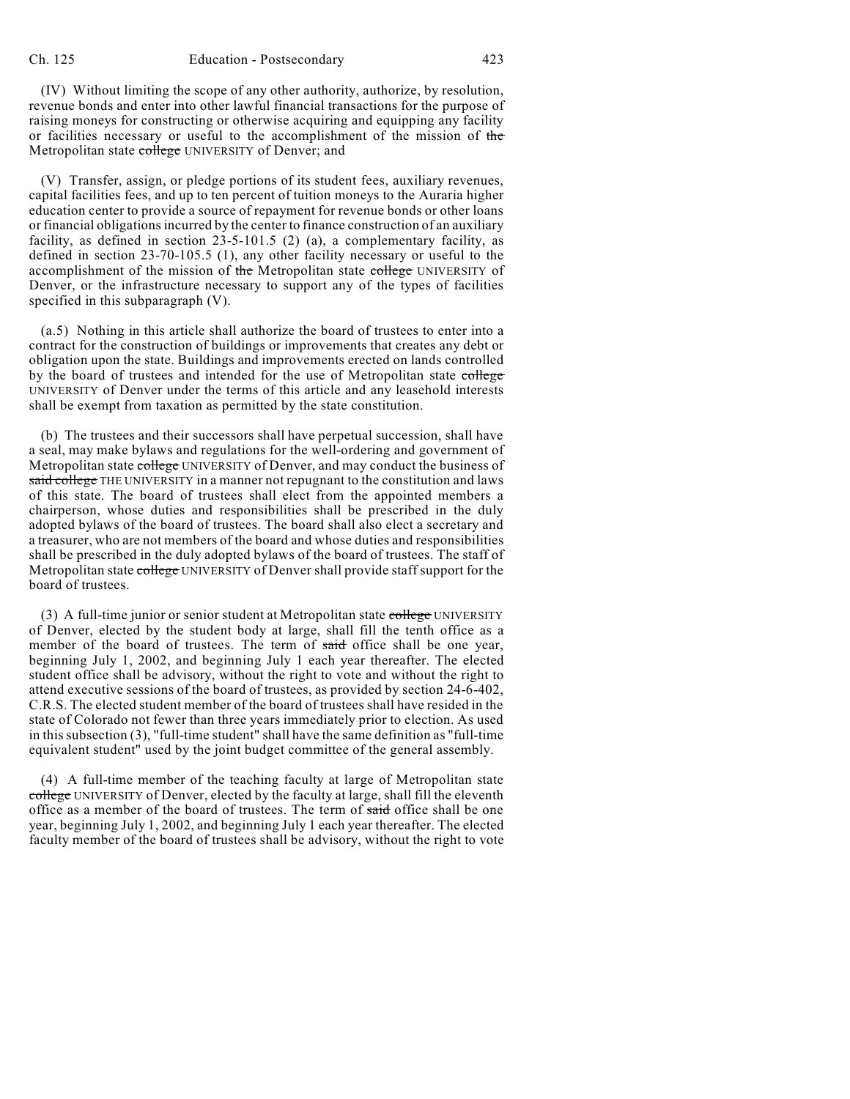(IV) Without limiting the scope of any other authority, authorize, by resolution, revenue bonds and enter into other lawful financial transactions for the purpose of raising moneys for constructing or otherwise acquiring and equipping any facility or facilities necessary or useful to the accomplishment of the mission of the Metropolitan state college UNIVERSITY of Denver; and

(V) Transfer, assign, or pledge portions of its student fees, auxiliary revenues, capital facilities fees, and up to ten percent of tuition moneys to the Auraria higher education center to provide a source of repayment for revenue bonds or other loans or financial obligationsincurred by the center to finance construction of an auxiliary facility, as defined in section  $23-5-101.5$  (2) (a), a complementary facility, as defined in section 23-70-105.5 (1), any other facility necessary or useful to the accomplishment of the mission of the Metropolitan state college UNIVERSITY of Denver, or the infrastructure necessary to support any of the types of facilities specified in this subparagraph (V).

(a.5) Nothing in this article shall authorize the board of trustees to enter into a contract for the construction of buildings or improvements that creates any debt or obligation upon the state. Buildings and improvements erected on lands controlled by the board of trustees and intended for the use of Metropolitan state college UNIVERSITY of Denver under the terms of this article and any leasehold interests shall be exempt from taxation as permitted by the state constitution.

(b) The trustees and their successors shall have perpetual succession, shall have a seal, may make bylaws and regulations for the well-ordering and government of Metropolitan state college UNIVERSITY of Denver, and may conduct the business of said college THE UNIVERSITY in a manner not repugnant to the constitution and laws of this state. The board of trustees shall elect from the appointed members a chairperson, whose duties and responsibilities shall be prescribed in the duly adopted bylaws of the board of trustees. The board shall also elect a secretary and a treasurer, who are not members of the board and whose duties and responsibilities shall be prescribed in the duly adopted bylaws of the board of trustees. The staff of Metropolitan state college UNIVERSITY of Denver shall provide staff support for the board of trustees.

(3) A full-time junior or senior student at Metropolitan state college UNIVERSITY of Denver, elected by the student body at large, shall fill the tenth office as a member of the board of trustees. The term of said office shall be one year, beginning July 1, 2002, and beginning July 1 each year thereafter. The elected student office shall be advisory, without the right to vote and without the right to attend executive sessions of the board of trustees, as provided by section 24-6-402, C.R.S. The elected student member of the board of trustees shall have resided in the state of Colorado not fewer than three years immediately prior to election. As used in this subsection (3), "full-time student" shall have the same definition as "full-time equivalent student" used by the joint budget committee of the general assembly.

(4) A full-time member of the teaching faculty at large of Metropolitan state college UNIVERSITY of Denver, elected by the faculty at large, shall fill the eleventh office as a member of the board of trustees. The term of said office shall be one year, beginning July 1, 2002, and beginning July 1 each year thereafter. The elected faculty member of the board of trustees shall be advisory, without the right to vote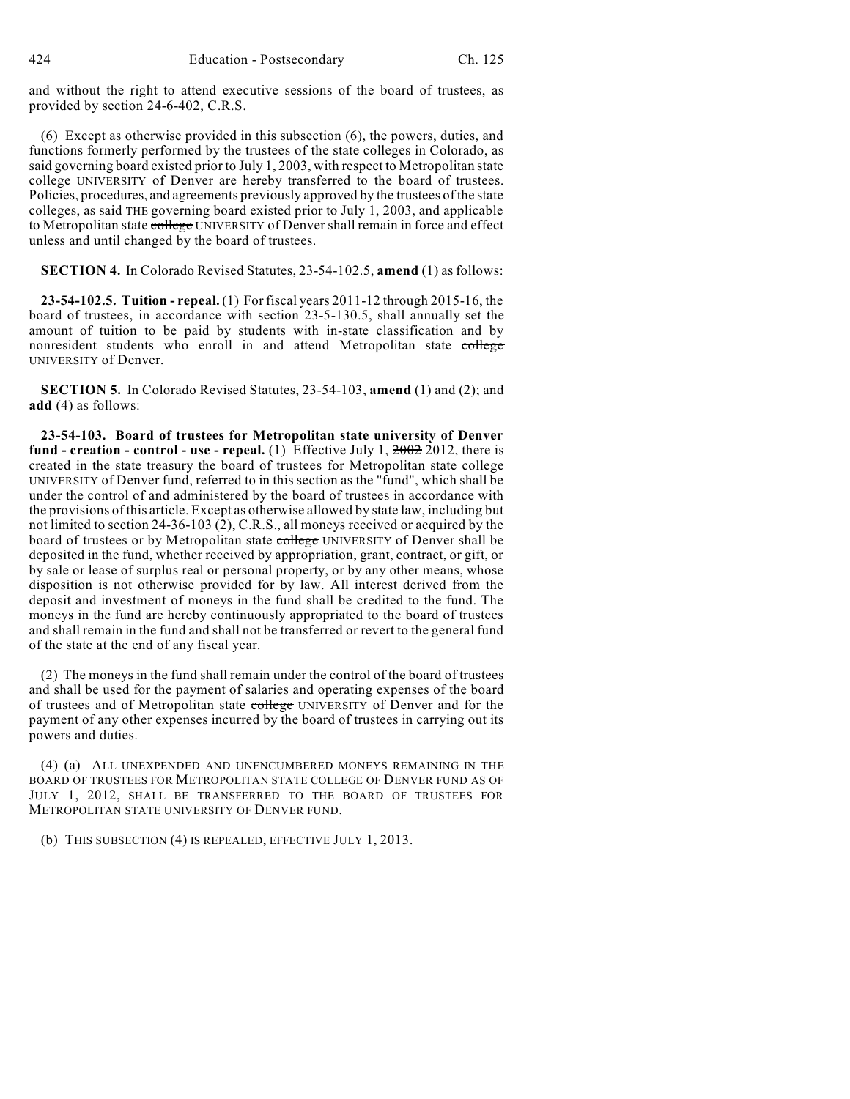and without the right to attend executive sessions of the board of trustees, as provided by section 24-6-402, C.R.S.

(6) Except as otherwise provided in this subsection (6), the powers, duties, and functions formerly performed by the trustees of the state colleges in Colorado, as said governing board existed prior to July 1, 2003, with respect to Metropolitan state college UNIVERSITY of Denver are hereby transferred to the board of trustees. Policies, procedures, and agreements previously approved by the trustees of the state colleges, as said THE governing board existed prior to July 1, 2003, and applicable to Metropolitan state college UNIVERSITY of Denver shall remain in force and effect unless and until changed by the board of trustees.

**SECTION 4.** In Colorado Revised Statutes, 23-54-102.5, **amend** (1) as follows:

**23-54-102.5. Tuition - repeal.** (1) For fiscal years 2011-12 through 2015-16, the board of trustees, in accordance with section 23-5-130.5, shall annually set the amount of tuition to be paid by students with in-state classification and by nonresident students who enroll in and attend Metropolitan state college UNIVERSITY of Denver.

**SECTION 5.** In Colorado Revised Statutes, 23-54-103, **amend** (1) and (2); and **add** (4) as follows:

**23-54-103. Board of trustees for Metropolitan state university of Denver fund - creation - control - use - repeal.** (1) Effective July 1, 2002 2012, there is created in the state treasury the board of trustees for Metropolitan state college UNIVERSITY of Denver fund, referred to in this section as the "fund", which shall be under the control of and administered by the board of trustees in accordance with the provisions of this article. Except as otherwise allowed by state law, including but not limited to section 24-36-103 (2), C.R.S., all moneys received or acquired by the board of trustees or by Metropolitan state college UNIVERSITY of Denver shall be deposited in the fund, whether received by appropriation, grant, contract, or gift, or by sale or lease of surplus real or personal property, or by any other means, whose disposition is not otherwise provided for by law. All interest derived from the deposit and investment of moneys in the fund shall be credited to the fund. The moneys in the fund are hereby continuously appropriated to the board of trustees and shall remain in the fund and shall not be transferred or revert to the general fund of the state at the end of any fiscal year.

(2) The moneys in the fund shall remain under the control of the board of trustees and shall be used for the payment of salaries and operating expenses of the board of trustees and of Metropolitan state college UNIVERSITY of Denver and for the payment of any other expenses incurred by the board of trustees in carrying out its powers and duties.

(4) (a) ALL UNEXPENDED AND UNENCUMBERED MONEYS REMAINING IN THE BOARD OF TRUSTEES FOR METROPOLITAN STATE COLLEGE OF DENVER FUND AS OF JULY 1, 2012, SHALL BE TRANSFERRED TO THE BOARD OF TRUSTEES FOR METROPOLITAN STATE UNIVERSITY OF DENVER FUND.

(b) THIS SUBSECTION (4) IS REPEALED, EFFECTIVE JULY 1, 2013.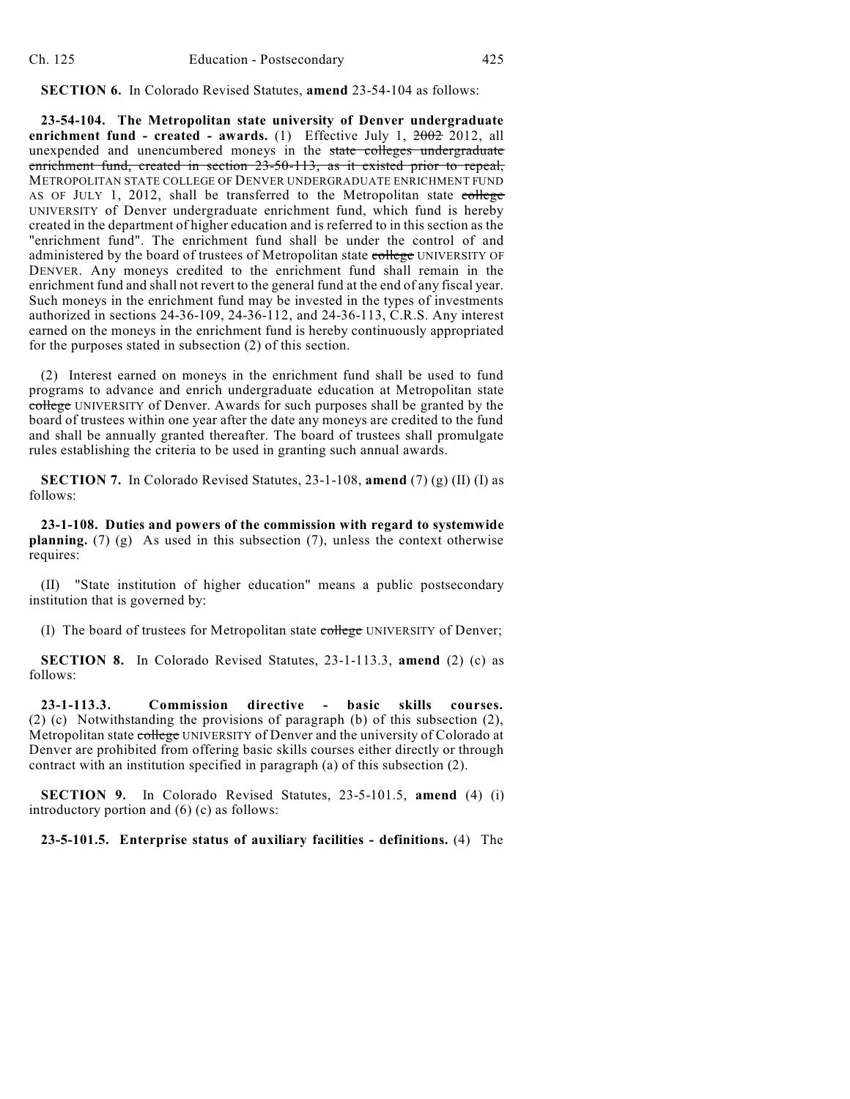**SECTION 6.** In Colorado Revised Statutes, **amend** 23-54-104 as follows:

**23-54-104. The Metropolitan state university of Denver undergraduate enrichment fund - created - awards.** (1) Effective July 1, 2002 2012, all unexpended and unencumbered moneys in the state colleges undergraduate enrichment fund, created in section 23-50-113, as it existed prior to repeal, METROPOLITAN STATE COLLEGE OF DENVER UNDERGRADUATE ENRICHMENT FUND AS OF JULY 1, 2012, shall be transferred to the Metropolitan state college UNIVERSITY of Denver undergraduate enrichment fund, which fund is hereby created in the department of higher education and is referred to in this section as the "enrichment fund". The enrichment fund shall be under the control of and administered by the board of trustees of Metropolitan state college UNIVERSITY OF DENVER. Any moneys credited to the enrichment fund shall remain in the enrichment fund and shall not revert to the general fund at the end of any fiscal year. Such moneys in the enrichment fund may be invested in the types of investments authorized in sections 24-36-109, 24-36-112, and 24-36-113, C.R.S. Any interest earned on the moneys in the enrichment fund is hereby continuously appropriated for the purposes stated in subsection (2) of this section.

(2) Interest earned on moneys in the enrichment fund shall be used to fund programs to advance and enrich undergraduate education at Metropolitan state college UNIVERSITY of Denver. Awards for such purposes shall be granted by the board of trustees within one year after the date any moneys are credited to the fund and shall be annually granted thereafter. The board of trustees shall promulgate rules establishing the criteria to be used in granting such annual awards.

**SECTION 7.** In Colorado Revised Statutes, 23-1-108, **amend** (7) (g) (II) (I) as follows:

**23-1-108. Duties and powers of the commission with regard to systemwide planning.** (7) (g) As used in this subsection (7), unless the context otherwise requires:

(II) "State institution of higher education" means a public postsecondary institution that is governed by:

(I) The board of trustees for Metropolitan state college UNIVERSITY of Denver;

**SECTION 8.** In Colorado Revised Statutes, 23-1-113.3, **amend** (2) (c) as follows:

**23-1-113.3. Commission directive - basic skills courses.** (2) (c) Notwithstanding the provisions of paragraph (b) of this subsection (2), Metropolitan state college UNIVERSITY of Denver and the university of Colorado at Denver are prohibited from offering basic skills courses either directly or through contract with an institution specified in paragraph (a) of this subsection (2).

**SECTION 9.** In Colorado Revised Statutes, 23-5-101.5, **amend** (4) (i) introductory portion and (6) (c) as follows:

**23-5-101.5. Enterprise status of auxiliary facilities - definitions.** (4) The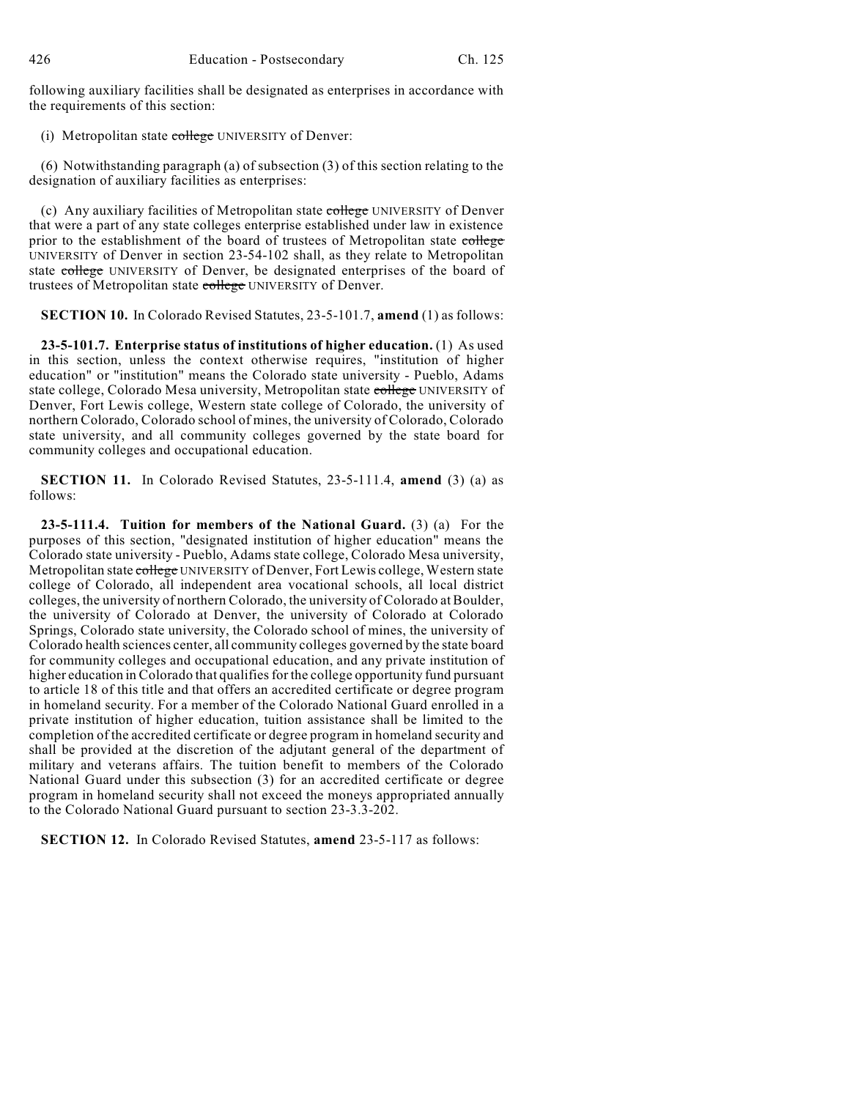following auxiliary facilities shall be designated as enterprises in accordance with the requirements of this section:

(i) Metropolitan state college UNIVERSITY of Denver:

(6) Notwithstanding paragraph (a) of subsection (3) of this section relating to the designation of auxiliary facilities as enterprises:

(c) Any auxiliary facilities of Metropolitan state college UNIVERSITY of Denver that were a part of any state colleges enterprise established under law in existence prior to the establishment of the board of trustees of Metropolitan state college UNIVERSITY of Denver in section 23-54-102 shall, as they relate to Metropolitan state college UNIVERSITY of Denver, be designated enterprises of the board of trustees of Metropolitan state college UNIVERSITY of Denver.

**SECTION 10.** In Colorado Revised Statutes, 23-5-101.7, **amend** (1) as follows:

**23-5-101.7. Enterprise status of institutions of higher education.** (1) As used in this section, unless the context otherwise requires, "institution of higher education" or "institution" means the Colorado state university - Pueblo, Adams state college, Colorado Mesa university, Metropolitan state college UNIVERSITY of Denver, Fort Lewis college, Western state college of Colorado, the university of northern Colorado, Colorado school of mines, the university of Colorado, Colorado state university, and all community colleges governed by the state board for community colleges and occupational education.

**SECTION 11.** In Colorado Revised Statutes, 23-5-111.4, **amend** (3) (a) as follows:

**23-5-111.4. Tuition for members of the National Guard.** (3) (a) For the purposes of this section, "designated institution of higher education" means the Colorado state university - Pueblo, Adams state college, Colorado Mesa university, Metropolitan state college UNIVERSITY of Denver, Fort Lewis college, Western state college of Colorado, all independent area vocational schools, all local district colleges, the university of northern Colorado, the university of Colorado atBoulder, the university of Colorado at Denver, the university of Colorado at Colorado Springs, Colorado state university, the Colorado school of mines, the university of Colorado health sciences center, all community colleges governed by the state board for community colleges and occupational education, and any private institution of higher education in Colorado that qualifies for the college opportunity fund pursuant to article 18 of this title and that offers an accredited certificate or degree program in homeland security. For a member of the Colorado National Guard enrolled in a private institution of higher education, tuition assistance shall be limited to the completion of the accredited certificate or degree program in homeland security and shall be provided at the discretion of the adjutant general of the department of military and veterans affairs. The tuition benefit to members of the Colorado National Guard under this subsection (3) for an accredited certificate or degree program in homeland security shall not exceed the moneys appropriated annually to the Colorado National Guard pursuant to section 23-3.3-202.

**SECTION 12.** In Colorado Revised Statutes, **amend** 23-5-117 as follows: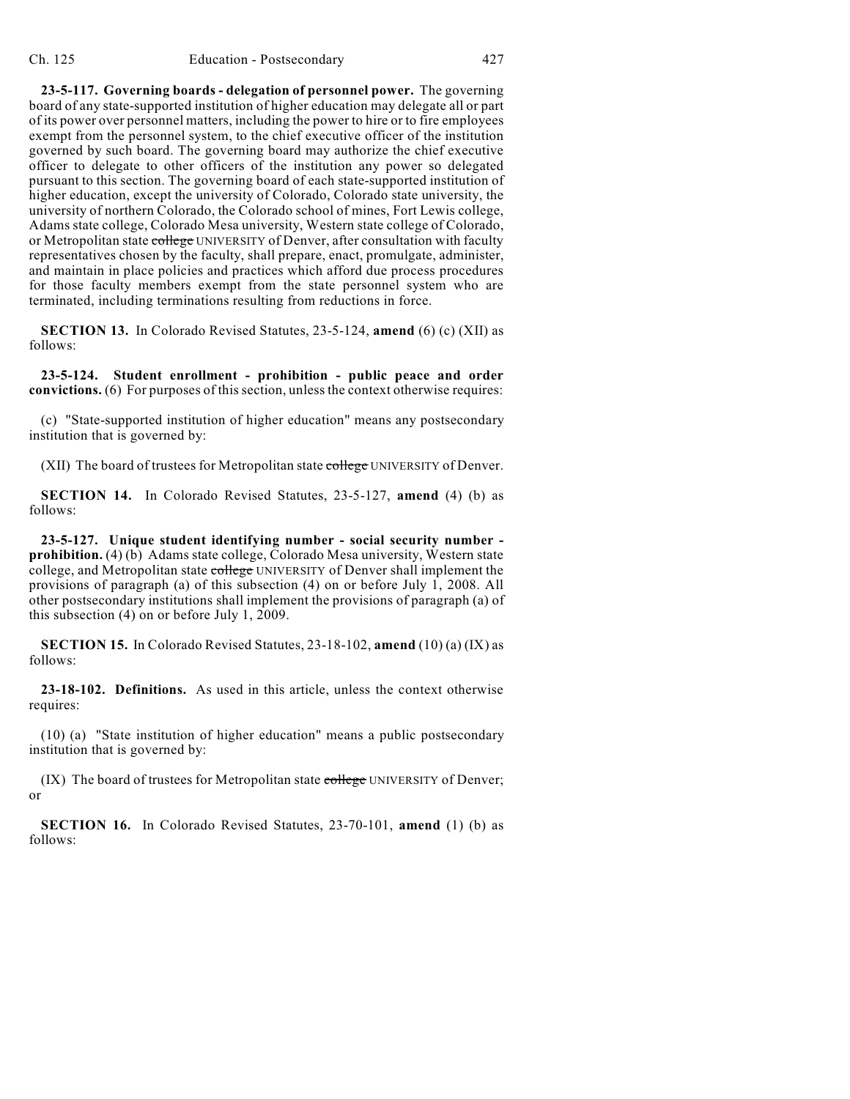**23-5-117. Governing boards - delegation of personnel power.** The governing board of any state-supported institution of higher education may delegate all or part of its power over personnel matters, including the power to hire or to fire employees exempt from the personnel system, to the chief executive officer of the institution governed by such board. The governing board may authorize the chief executive officer to delegate to other officers of the institution any power so delegated pursuant to this section. The governing board of each state-supported institution of higher education, except the university of Colorado, Colorado state university, the university of northern Colorado, the Colorado school of mines, Fort Lewis college, Adams state college, Colorado Mesa university, Western state college of Colorado, or Metropolitan state college UNIVERSITY of Denver, after consultation with faculty representatives chosen by the faculty, shall prepare, enact, promulgate, administer, and maintain in place policies and practices which afford due process procedures for those faculty members exempt from the state personnel system who are terminated, including terminations resulting from reductions in force.

**SECTION 13.** In Colorado Revised Statutes, 23-5-124, **amend** (6) (c) (XII) as follows:

**23-5-124. Student enrollment - prohibition - public peace and order convictions.** (6) For purposes of this section, unless the context otherwise requires:

(c) "State-supported institution of higher education" means any postsecondary institution that is governed by:

(XII) The board of trustees for Metropolitan state college UNIVERSITY of Denver.

**SECTION 14.** In Colorado Revised Statutes, 23-5-127, **amend** (4) (b) as follows:

**23-5-127. Unique student identifying number - social security number prohibition.** (4) (b) Adams state college, Colorado Mesa university, Western state college, and Metropolitan state college UNIVERSITY of Denver shall implement the provisions of paragraph (a) of this subsection (4) on or before July 1, 2008. All other postsecondary institutions shall implement the provisions of paragraph (a) of this subsection (4) on or before July 1, 2009.

**SECTION 15.** In Colorado Revised Statutes, 23-18-102, **amend** (10) (a) (IX) as follows:

**23-18-102. Definitions.** As used in this article, unless the context otherwise requires:

(10) (a) "State institution of higher education" means a public postsecondary institution that is governed by:

(IX) The board of trustees for Metropolitan state college UNIVERSITY of Denver; or

**SECTION 16.** In Colorado Revised Statutes, 23-70-101, **amend** (1) (b) as follows: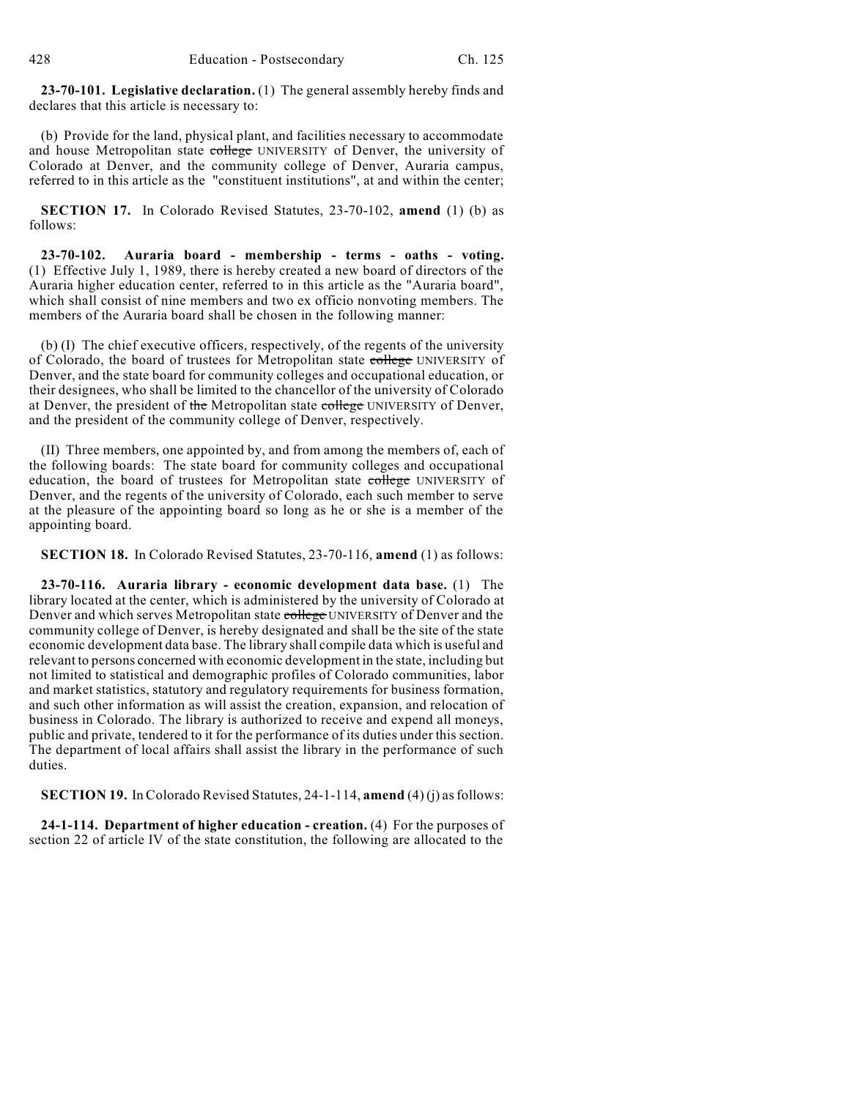**23-70-101. Legislative declaration.** (1) The general assembly hereby finds and declares that this article is necessary to:

(b) Provide for the land, physical plant, and facilities necessary to accommodate and house Metropolitan state college UNIVERSITY of Denver, the university of Colorado at Denver, and the community college of Denver, Auraria campus, referred to in this article as the "constituent institutions", at and within the center;

**SECTION 17.** In Colorado Revised Statutes, 23-70-102, **amend** (1) (b) as follows:

**23-70-102. Auraria board - membership - terms - oaths - voting.** (1) Effective July 1, 1989, there is hereby created a new board of directors of the Auraria higher education center, referred to in this article as the "Auraria board", which shall consist of nine members and two ex officio nonvoting members. The members of the Auraria board shall be chosen in the following manner:

(b) (I) The chief executive officers, respectively, of the regents of the university of Colorado, the board of trustees for Metropolitan state college UNIVERSITY of Denver, and the state board for community colleges and occupational education, or their designees, who shall be limited to the chancellor of the university of Colorado at Denver, the president of the Metropolitan state college UNIVERSITY of Denver, and the president of the community college of Denver, respectively.

(II) Three members, one appointed by, and from among the members of, each of the following boards: The state board for community colleges and occupational education, the board of trustees for Metropolitan state college UNIVERSITY of Denver, and the regents of the university of Colorado, each such member to serve at the pleasure of the appointing board so long as he or she is a member of the appointing board.

**SECTION 18.** In Colorado Revised Statutes, 23-70-116, **amend** (1) as follows:

**23-70-116. Auraria library - economic development data base.** (1) The library located at the center, which is administered by the university of Colorado at Denver and which serves Metropolitan state college UNIVERSITY of Denver and the community college of Denver, is hereby designated and shall be the site of the state economic development data base. The library shall compile data which is useful and relevant to persons concerned with economic development in the state, including but not limited to statistical and demographic profiles of Colorado communities, labor and market statistics, statutory and regulatory requirements for business formation, and such other information as will assist the creation, expansion, and relocation of business in Colorado. The library is authorized to receive and expend all moneys, public and private, tendered to it for the performance of its duties under this section. The department of local affairs shall assist the library in the performance of such duties.

**SECTION 19.** In Colorado Revised Statutes, 24-1-114, **amend** (4) (j) asfollows:

**24-1-114. Department of higher education - creation.** (4) For the purposes of section 22 of article IV of the state constitution, the following are allocated to the